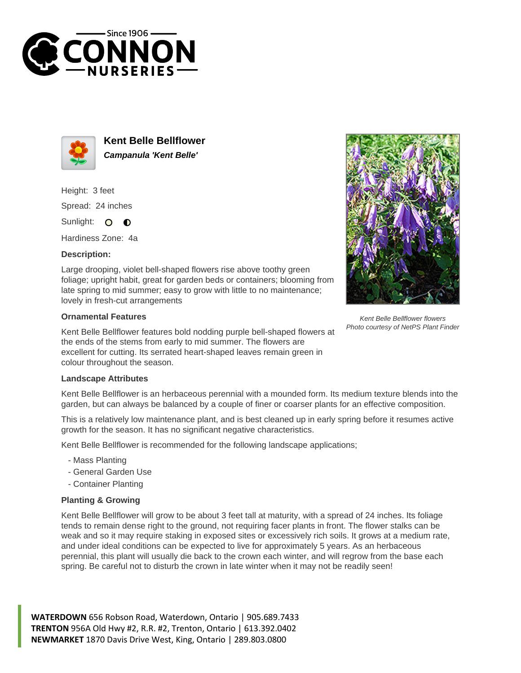



**Kent Belle Bellflower Campanula 'Kent Belle'**

Height: 3 feet Spread: 24 inches

Sunlight: 0  $\bullet$ 

Hardiness Zone: 4a

## **Description:**

Large drooping, violet bell-shaped flowers rise above toothy green foliage; upright habit, great for garden beds or containers; blooming from late spring to mid summer; easy to grow with little to no maintenance; lovely in fresh-cut arrangements

### **Ornamental Features**

Kent Belle Bellflower features bold nodding purple bell-shaped flowers at the ends of the stems from early to mid summer. The flowers are excellent for cutting. Its serrated heart-shaped leaves remain green in colour throughout the season.

Kent Belle Bellflower flowers Photo courtesy of NetPS Plant Finder

### **Landscape Attributes**

Kent Belle Bellflower is an herbaceous perennial with a mounded form. Its medium texture blends into the garden, but can always be balanced by a couple of finer or coarser plants for an effective composition.

This is a relatively low maintenance plant, and is best cleaned up in early spring before it resumes active growth for the season. It has no significant negative characteristics.

Kent Belle Bellflower is recommended for the following landscape applications;

- Mass Planting
- General Garden Use
- Container Planting

# **Planting & Growing**

Kent Belle Bellflower will grow to be about 3 feet tall at maturity, with a spread of 24 inches. Its foliage tends to remain dense right to the ground, not requiring facer plants in front. The flower stalks can be weak and so it may require staking in exposed sites or excessively rich soils. It grows at a medium rate, and under ideal conditions can be expected to live for approximately 5 years. As an herbaceous perennial, this plant will usually die back to the crown each winter, and will regrow from the base each spring. Be careful not to disturb the crown in late winter when it may not be readily seen!

**WATERDOWN** 656 Robson Road, Waterdown, Ontario | 905.689.7433 **TRENTON** 956A Old Hwy #2, R.R. #2, Trenton, Ontario | 613.392.0402 **NEWMARKET** 1870 Davis Drive West, King, Ontario | 289.803.0800